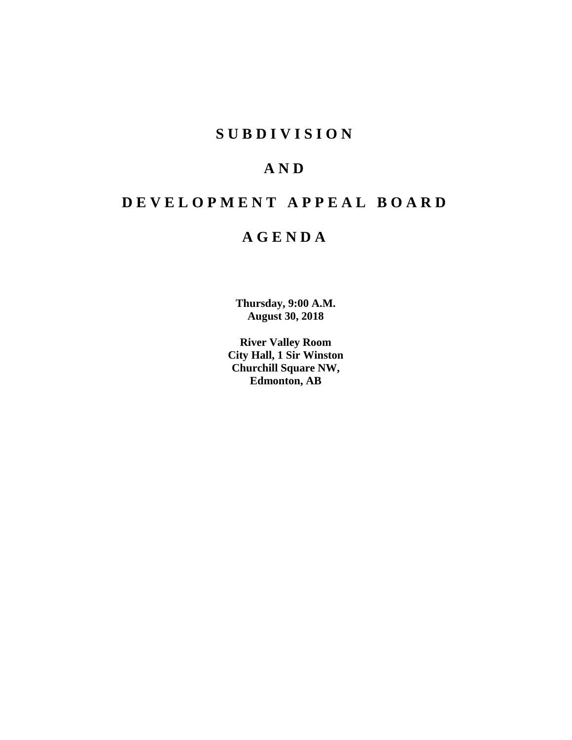## **SUBDIVISION**

## **AND**

# **DEVELOPMENT APPEAL BOARD**

## **AGENDA**

**Thursday, 9:00 A.M. August 30, 2018**

**River Valley Room City Hall, 1 Sir Winston Churchill Square NW, Edmonton, AB**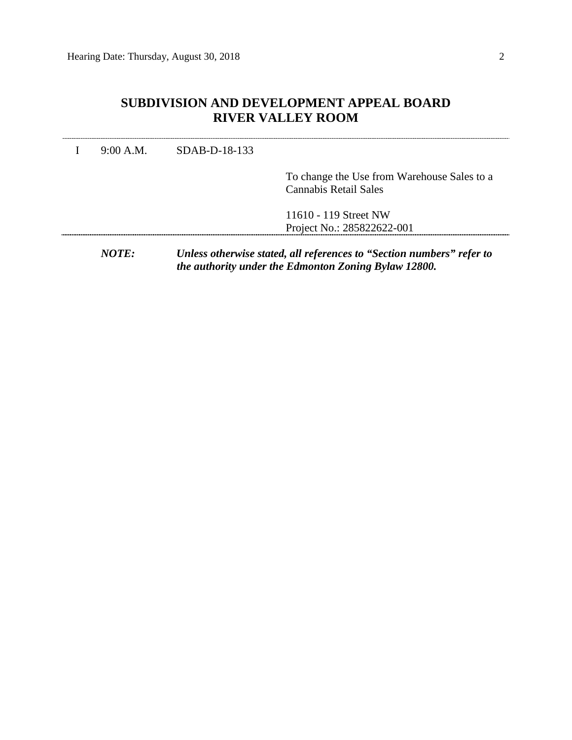## **SUBDIVISION AND DEVELOPMENT APPEAL BOARD RIVER VALLEY ROOM**

I 9:00 A.M. SDAB-D-18-133

To change the Use from Warehouse Sales to a Cannabis Retail Sales

11610 - 119 Street NW Project No.: 285822622-001

*NOTE: Unless otherwise stated, all references to "Section numbers" refer to the authority under the Edmonton Zoning Bylaw 12800.*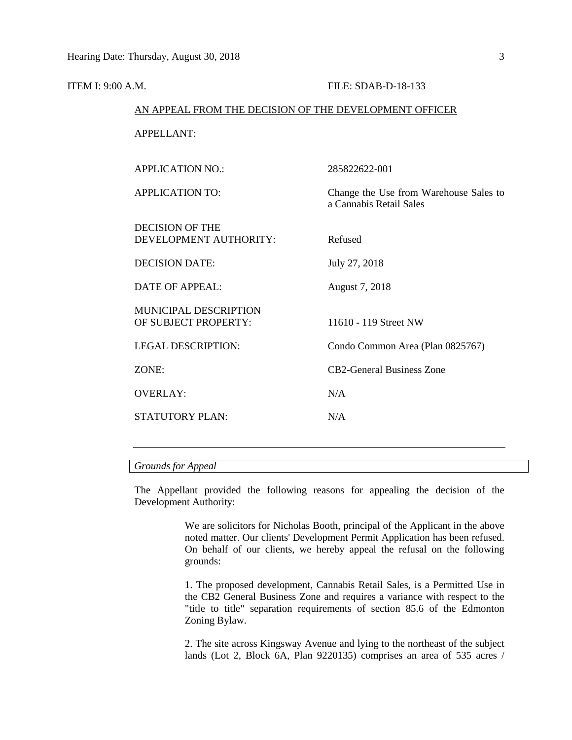| ITEM I: 9:00 A.M. |                                                        | FILE: SDAB-D-18-133                                               |  |  |  |
|-------------------|--------------------------------------------------------|-------------------------------------------------------------------|--|--|--|
|                   | AN APPEAL FROM THE DECISION OF THE DEVELOPMENT OFFICER |                                                                   |  |  |  |
|                   | <b>APPELLANT:</b>                                      |                                                                   |  |  |  |
|                   | <b>APPLICATION NO.:</b>                                | 285822622-001                                                     |  |  |  |
|                   |                                                        |                                                                   |  |  |  |
|                   | <b>APPLICATION TO:</b>                                 | Change the Use from Warehouse Sales to<br>a Cannabis Retail Sales |  |  |  |
|                   | <b>DECISION OF THE</b>                                 |                                                                   |  |  |  |
|                   | DEVELOPMENT AUTHORITY:                                 | Refused                                                           |  |  |  |
|                   | <b>DECISION DATE:</b>                                  | July 27, 2018                                                     |  |  |  |
|                   | <b>DATE OF APPEAL:</b>                                 | August 7, 2018                                                    |  |  |  |
|                   | MUNICIPAL DESCRIPTION                                  |                                                                   |  |  |  |
|                   | OF SUBJECT PROPERTY:                                   | 11610 - 119 Street NW                                             |  |  |  |
|                   | <b>LEGAL DESCRIPTION:</b>                              | Condo Common Area (Plan 0825767)                                  |  |  |  |
|                   | ZONE:                                                  | <b>CB2-General Business Zone</b>                                  |  |  |  |
|                   | <b>OVERLAY:</b>                                        | N/A                                                               |  |  |  |
|                   | <b>STATUTORY PLAN:</b>                                 | N/A                                                               |  |  |  |
|                   |                                                        |                                                                   |  |  |  |

#### *Grounds for Appeal*

The Appellant provided the following reasons for appealing the decision of the Development Authority:

> We are solicitors for Nicholas Booth, principal of the Applicant in the above noted matter. Our clients' Development Permit Application has been refused. On behalf of our clients, we hereby appeal the refusal on the following grounds:

> 1. The proposed development, Cannabis Retail Sales, is a Permitted Use in the CB2 General Business Zone and requires a variance with respect to the "title to title" separation requirements of section 85.6 of the Edmonton Zoning Bylaw.

> 2. The site across Kingsway Avenue and lying to the northeast of the subject lands (Lot 2, Block 6A, Plan 9220135) comprises an area of 535 acres /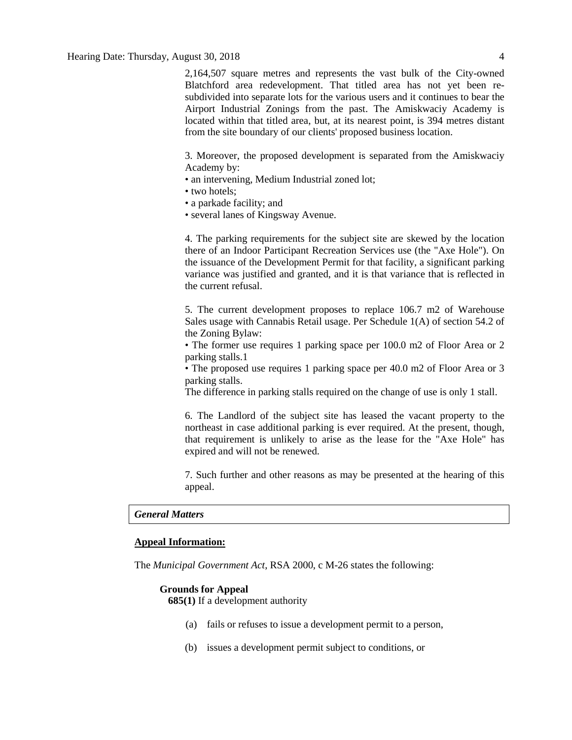2,164,507 square metres and represents the vast bulk of the City-owned Blatchford area redevelopment. That titled area has not yet been resubdivided into separate lots for the various users and it continues to bear the Airport Industrial Zonings from the past. The Amiskwaciy Academy is located within that titled area, but, at its nearest point, is 394 metres distant from the site boundary of our clients' proposed business location.

3. Moreover, the proposed development is separated from the Amiskwaciy Academy by:

- an intervening, Medium Industrial zoned lot;
- two hotels;
- a parkade facility; and
- several lanes of Kingsway Avenue.

4. The parking requirements for the subject site are skewed by the location there of an Indoor Participant Recreation Services use (the "Axe Hole"). On the issuance of the Development Permit for that facility, a significant parking variance was justified and granted, and it is that variance that is reflected in the current refusal.

5. The current development proposes to replace 106.7 m2 of Warehouse Sales usage with Cannabis Retail usage. Per Schedule 1(A) of section 54.2 of the Zoning Bylaw:

• The former use requires 1 parking space per 100.0 m2 of Floor Area or 2 parking stalls.1

• The proposed use requires 1 parking space per 40.0 m2 of Floor Area or 3 parking stalls.

The difference in parking stalls required on the change of use is only 1 stall.

6. The Landlord of the subject site has leased the vacant property to the northeast in case additional parking is ever required. At the present, though, that requirement is unlikely to arise as the lease for the "Axe Hole" has expired and will not be renewed.

7. Such further and other reasons as may be presented at the hearing of this appeal.

### *General Matters*

#### **Appeal Information:**

The *Municipal Government Act*, RSA 2000, c M-26 states the following:

#### **Grounds for Appeal**

**685(1)** If a development authority

- (a) fails or refuses to issue a development permit to a person,
- (b) issues a development permit subject to conditions, or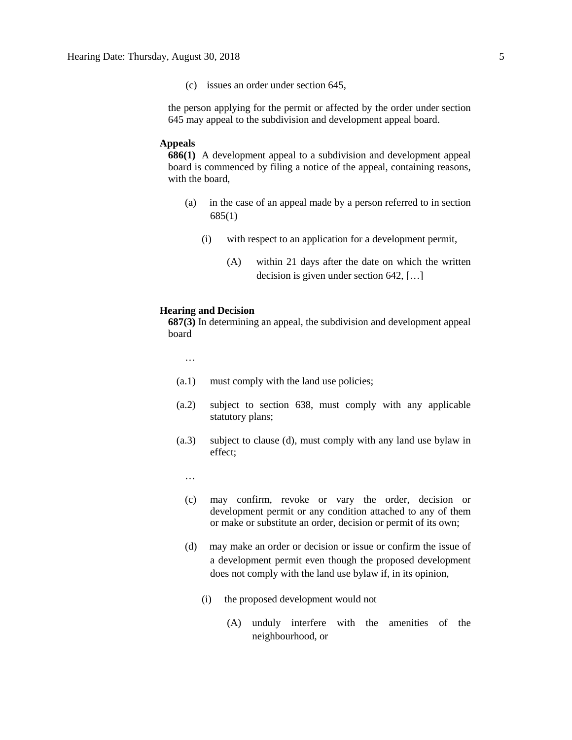(c) issues an order under section 645,

the person applying for the permit or affected by the order under section 645 may appeal to the subdivision and development appeal board.

#### **Appeals**

**686(1)** A development appeal to a subdivision and development appeal board is commenced by filing a notice of the appeal, containing reasons, with the board,

- (a) in the case of an appeal made by a person referred to in section 685(1)
	- (i) with respect to an application for a development permit,
		- (A) within 21 days after the date on which the written decision is given under section 642, […]

#### **Hearing and Decision**

**687(3)** In determining an appeal, the subdivision and development appeal board

…

- (a.1) must comply with the land use policies;
- (a.2) subject to section 638, must comply with any applicable statutory plans;
- (a.3) subject to clause (d), must comply with any land use bylaw in effect;
	- …
	- (c) may confirm, revoke or vary the order, decision or development permit or any condition attached to any of them or make or substitute an order, decision or permit of its own;
	- (d) may make an order or decision or issue or confirm the issue of a development permit even though the proposed development does not comply with the land use bylaw if, in its opinion,
		- (i) the proposed development would not
			- (A) unduly interfere with the amenities of the neighbourhood, or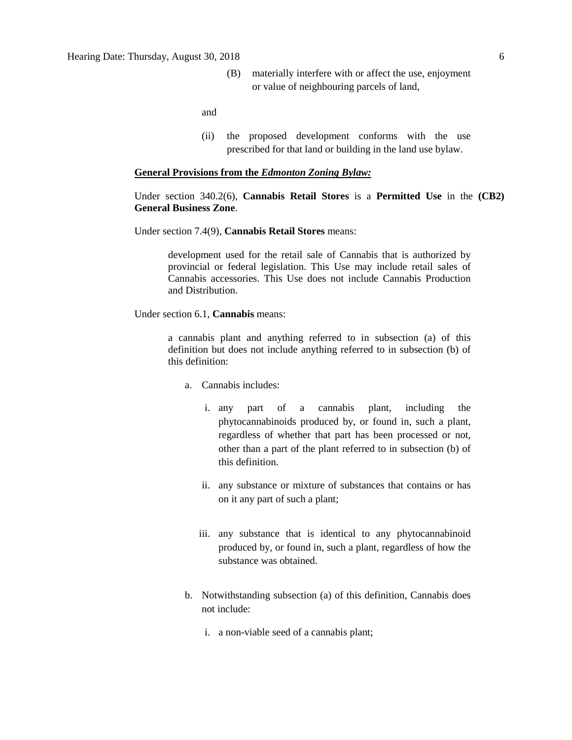(B) materially interfere with or affect the use, enjoyment or value of neighbouring parcels of land,

and

(ii) the proposed development conforms with the use prescribed for that land or building in the land use bylaw.

#### **General Provisions from the** *Edmonton Zoning Bylaw:*

### Under section 340.2(6), **Cannabis Retail Stores** is a **Permitted Use** in the **(CB2) General Business Zone**.

Under section 7.4(9), **Cannabis Retail Stores** means:

development used for the retail sale of Cannabis that is authorized by provincial or federal legislation. This Use may include retail sales of Cannabis accessories. This Use does not include Cannabis Production and Distribution.

Under section 6.1, **Cannabis** means:

a cannabis plant and anything referred to in subsection (a) of this definition but does not include anything referred to in subsection (b) of this definition:

- a. Cannabis includes:
	- i. any part of a cannabis plant, including the phytocannabinoids produced by, or found in, such a plant, regardless of whether that part has been processed or not, other than a part of the plant referred to in subsection (b) of this definition.
	- ii. any substance or mixture of substances that contains or has on it any part of such a plant;
	- iii. any substance that is identical to any phytocannabinoid produced by, or found in, such a plant, regardless of how the substance was obtained.
- b. Notwithstanding subsection (a) of this definition, Cannabis does not include:
	- i. a non-viable seed of a cannabis plant;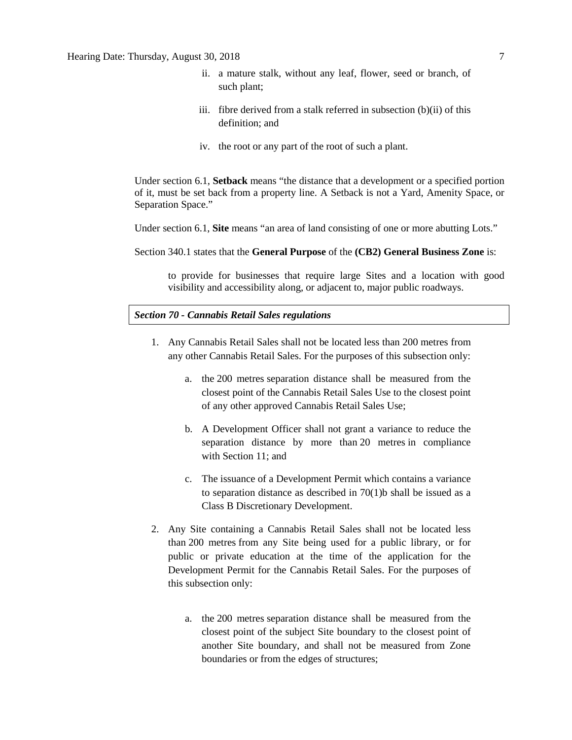- ii. a mature stalk, without any leaf, flower, seed or branch, of such plant;
- iii. fibre derived from a stalk referred in subsection (b)(ii) of this definition; and
- iv. the root or any part of the root of such a plant.

Under section 6.1, **Setback** means "the distance that a development or a specified portion of it, must be set back from a property line. A Setback is not a Yard, Amenity Space, or Separation Space."

Under section 6.1, **Site** means "an area of land consisting of one or more abutting Lots."

Section 340.1 states that the **General Purpose** of the **(CB2) General Business Zone** is:

to provide for businesses that require large Sites and a location with good visibility and accessibility along, or adjacent to, major public roadways.

### *Section 70 - Cannabis Retail Sales regulations*

- 1. Any Cannabis Retail Sales shall not be located less than 200 metres from any other Cannabis Retail Sales. For the purposes of this subsection only:
	- a. the [200 me](javascript:void(0);)tres separation distance shall be measured from the closest point of the Cannabis Retail Sales Use to the closest point of any other approved Cannabis Retail Sales Use;
	- b. A Development Officer shall not grant a variance to reduce the separation distance by more than [20 me](javascript:void(0);)tres in compliance with [Section 11;](https://webdocs.edmonton.ca/InfraPlan/zoningbylaw/ZoningBylaw/Part1/Administrative/11__Authority_and_Responsibility_of_the_Development_Officer.htm) and
	- c. The issuance of a Development Permit which contains a variance to separation distance as described in  $70(1)$ b shall be issued as a Class B Discretionary Development.
- 2. Any Site containing a Cannabis Retail Sales shall not be located less than [200 me](javascript:void(0);)tres from any Site being used for a public library, or for public or private education at the time of the application for the Development Permit for the Cannabis Retail Sales. For the purposes of this subsection only:
	- a. the [200 me](javascript:void(0);)tres separation distance shall be measured from the closest point of the subject Site boundary to the closest point of another Site boundary, and shall not be measured from Zone boundaries or from the edges of structures;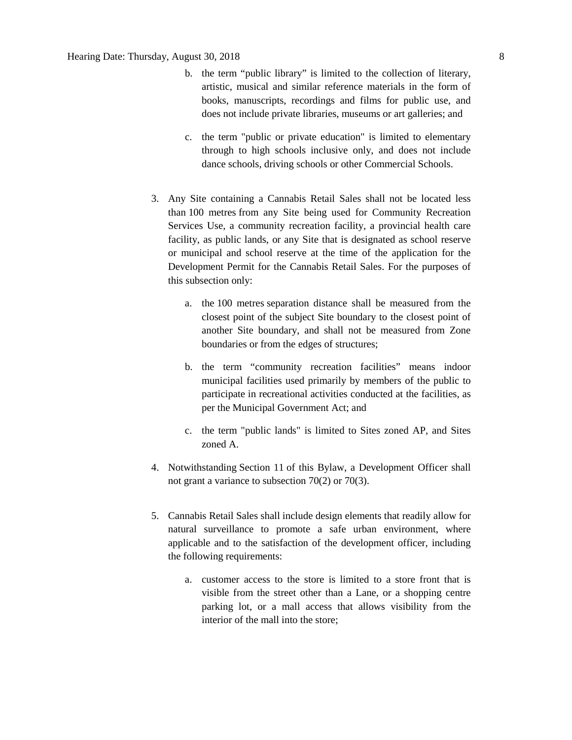- b. the term "public library" is limited to the collection of literary, artistic, musical and similar reference materials in the form of books, manuscripts, recordings and films for public use, and does not include private libraries, museums or art galleries; and
- c. the term "public or private education" is limited to elementary through to high schools inclusive only, and does not include dance schools, driving schools or other Commercial Schools.
- 3. Any Site containing a Cannabis Retail Sales shall not be located less than [100 me](javascript:void(0);)tres from any Site being used for Community Recreation Services Use, a community recreation facility, a provincial health care facility, as public lands, or any Site that is designated as school reserve or municipal and school reserve at the time of the application for the Development Permit for the Cannabis Retail Sales. For the purposes of this subsection only:
	- a. the [100 me](javascript:void(0);)tres separation distance shall be measured from the closest point of the subject Site boundary to the closest point of another Site boundary, and shall not be measured from Zone boundaries or from the edges of structures;
	- b. the term "community recreation facilities" means indoor municipal facilities used primarily by members of the public to participate in recreational activities conducted at the facilities, as per the Municipal Government Act; and
	- c. the term "public lands" is limited to Sites zoned AP, and Sites zoned A.
- 4. Notwithstanding [Section 11](https://webdocs.edmonton.ca/InfraPlan/zoningbylaw/ZoningBylaw/Part1/Administrative/11__Authority_and_Responsibility_of_the_Development_Officer.htm) of this Bylaw, a Development Officer shall not grant a variance to subsection 70(2) or 70(3).
- 5. Cannabis Retail Sales shall include design elements that readily allow for natural surveillance to promote a safe urban environment, where applicable and to the satisfaction of the development officer, including the following requirements:
	- a. customer access to the store is limited to a store front that is visible from the street other than a Lane, or a shopping centre parking lot, or a mall access that allows visibility from the interior of the mall into the store;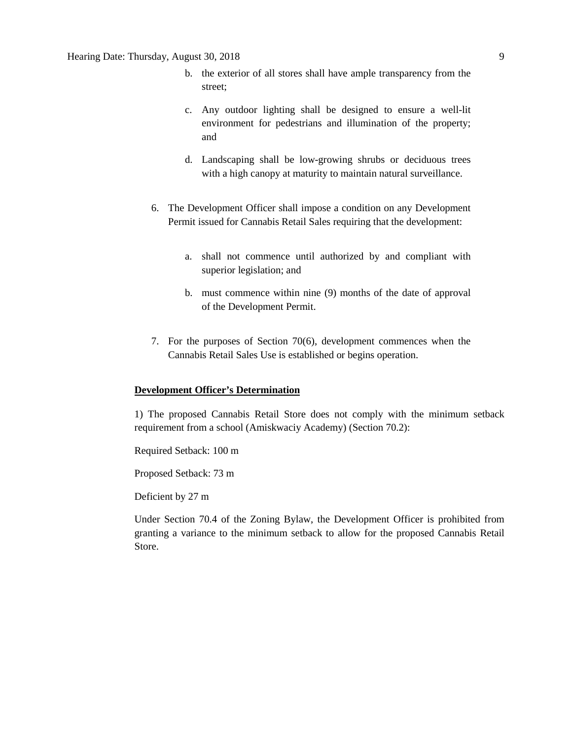- b. the exterior of all stores shall have ample transparency from the street;
- c. Any outdoor lighting shall be designed to ensure a well-lit environment for pedestrians and illumination of the property; and
- d. Landscaping shall be low-growing shrubs or deciduous trees with a high canopy at maturity to maintain natural surveillance.
- 6. The Development Officer shall impose a condition on any Development Permit issued for Cannabis Retail Sales requiring that the development:
	- a. shall not commence until authorized by and compliant with superior legislation; and
	- b. must commence within nine (9) months of the date of approval of the Development Permit.
- 7. For the purposes of Section 70(6), development commences when the Cannabis Retail Sales Use is established or begins operation.

#### **Development Officer's Determination**

1) The proposed Cannabis Retail Store does not comply with the minimum setback requirement from a school (Amiskwaciy Academy) (Section 70.2):

Required Setback: 100 m

Proposed Setback: 73 m

Deficient by 27 m

Under Section 70.4 of the Zoning Bylaw, the Development Officer is prohibited from granting a variance to the minimum setback to allow for the proposed Cannabis Retail Store.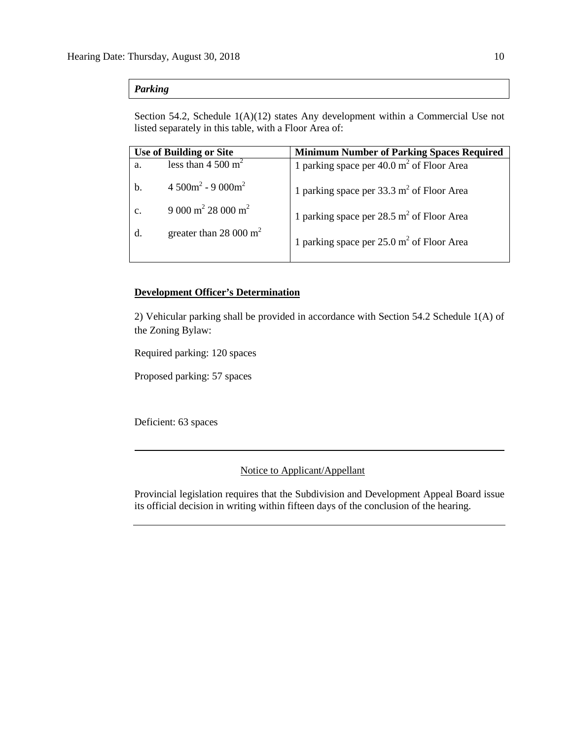## *Parking*

Section 54.2, Schedule 1(A)(12) states Any development within a Commercial Use not listed separately in this table, with a Floor Area of:

| <b>Use of Building or Site</b> |                                      | <b>Minimum Number of Parking Spaces Required</b>      |  |  |
|--------------------------------|--------------------------------------|-------------------------------------------------------|--|--|
| a.                             | less than $4\ 500 \text{ m}^2$       | 1 parking space per $40.0 \text{ m}^2$ of Floor Area  |  |  |
| b.                             | $4.500m^2 - 9.000m^2$                | 1 parking space per $33.3 \text{ m}^2$ of Floor Area  |  |  |
| c.                             | $9000 \text{ m}^2 28000 \text{ m}^2$ | 1 parking space per 28.5 m <sup>2</sup> of Floor Area |  |  |
|                                | greater than 28 000 $m2$             | 1 parking space per $25.0 \text{ m}^2$ of Floor Area  |  |  |
|                                |                                      |                                                       |  |  |

## **Development Officer's Determination**

2) Vehicular parking shall be provided in accordance with Section 54.2 Schedule 1(A) of the Zoning Bylaw:

Required parking: 120 spaces

Proposed parking: 57 spaces

Deficient: 63 spaces

### Notice to Applicant/Appellant

Provincial legislation requires that the Subdivision and Development Appeal Board issue its official decision in writing within fifteen days of the conclusion of the hearing.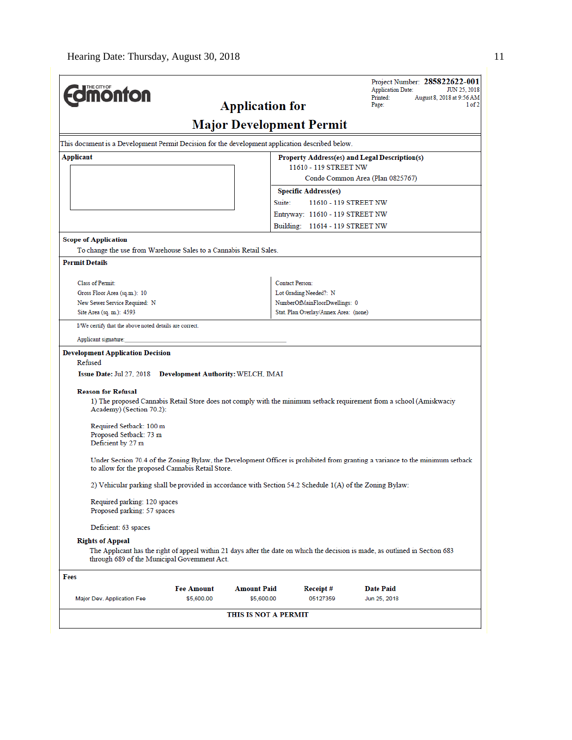| <b>ionton</b>                                                                                                                                                                                                                                                                                                                                                                                                                                                                                                                                                                                                                                                                                                                                                                                                                                                                                                                                                                     | <b>Application for</b>                                                                          |                                       | Project Number: 285822622-001<br><b>Application Date:</b><br>JUN 25, 2018<br>August 8, 2018 at 9:56 AM<br>Printed:<br>Page:<br>1 of 2 |  |  |  |  |
|-----------------------------------------------------------------------------------------------------------------------------------------------------------------------------------------------------------------------------------------------------------------------------------------------------------------------------------------------------------------------------------------------------------------------------------------------------------------------------------------------------------------------------------------------------------------------------------------------------------------------------------------------------------------------------------------------------------------------------------------------------------------------------------------------------------------------------------------------------------------------------------------------------------------------------------------------------------------------------------|-------------------------------------------------------------------------------------------------|---------------------------------------|---------------------------------------------------------------------------------------------------------------------------------------|--|--|--|--|
| <b>Major Development Permit</b>                                                                                                                                                                                                                                                                                                                                                                                                                                                                                                                                                                                                                                                                                                                                                                                                                                                                                                                                                   |                                                                                                 |                                       |                                                                                                                                       |  |  |  |  |
|                                                                                                                                                                                                                                                                                                                                                                                                                                                                                                                                                                                                                                                                                                                                                                                                                                                                                                                                                                                   | This document is a Development Permit Decision for the development application described below. |                                       |                                                                                                                                       |  |  |  |  |
| Applicant                                                                                                                                                                                                                                                                                                                                                                                                                                                                                                                                                                                                                                                                                                                                                                                                                                                                                                                                                                         |                                                                                                 |                                       | Property Address(es) and Legal Description(s)                                                                                         |  |  |  |  |
|                                                                                                                                                                                                                                                                                                                                                                                                                                                                                                                                                                                                                                                                                                                                                                                                                                                                                                                                                                                   |                                                                                                 | 11610 - 119 STREET NW                 | Condo Common Area (Plan 0825767)                                                                                                      |  |  |  |  |
|                                                                                                                                                                                                                                                                                                                                                                                                                                                                                                                                                                                                                                                                                                                                                                                                                                                                                                                                                                                   |                                                                                                 | <b>Specific Address(es)</b>           |                                                                                                                                       |  |  |  |  |
|                                                                                                                                                                                                                                                                                                                                                                                                                                                                                                                                                                                                                                                                                                                                                                                                                                                                                                                                                                                   | Suite:                                                                                          |                                       | 11610 - 119 STREET NW                                                                                                                 |  |  |  |  |
|                                                                                                                                                                                                                                                                                                                                                                                                                                                                                                                                                                                                                                                                                                                                                                                                                                                                                                                                                                                   |                                                                                                 | Entryway: 11610 - 119 STREET NW       |                                                                                                                                       |  |  |  |  |
|                                                                                                                                                                                                                                                                                                                                                                                                                                                                                                                                                                                                                                                                                                                                                                                                                                                                                                                                                                                   |                                                                                                 | Building: 11614 - 119 STREET NW       |                                                                                                                                       |  |  |  |  |
| <b>Scope of Application</b>                                                                                                                                                                                                                                                                                                                                                                                                                                                                                                                                                                                                                                                                                                                                                                                                                                                                                                                                                       |                                                                                                 |                                       |                                                                                                                                       |  |  |  |  |
| To change the use from Warehouse Sales to a Cannabis Retail Sales.                                                                                                                                                                                                                                                                                                                                                                                                                                                                                                                                                                                                                                                                                                                                                                                                                                                                                                                |                                                                                                 |                                       |                                                                                                                                       |  |  |  |  |
| <b>Permit Details</b>                                                                                                                                                                                                                                                                                                                                                                                                                                                                                                                                                                                                                                                                                                                                                                                                                                                                                                                                                             |                                                                                                 |                                       |                                                                                                                                       |  |  |  |  |
| Class of Permit:                                                                                                                                                                                                                                                                                                                                                                                                                                                                                                                                                                                                                                                                                                                                                                                                                                                                                                                                                                  |                                                                                                 | Contact Person:                       |                                                                                                                                       |  |  |  |  |
| Gross Floor Area (sq.m.): 10                                                                                                                                                                                                                                                                                                                                                                                                                                                                                                                                                                                                                                                                                                                                                                                                                                                                                                                                                      |                                                                                                 | Lot Grading Needed?: N                |                                                                                                                                       |  |  |  |  |
| New Sewer Service Required: N                                                                                                                                                                                                                                                                                                                                                                                                                                                                                                                                                                                                                                                                                                                                                                                                                                                                                                                                                     |                                                                                                 | NumberOfMainFloorDwellings: 0         |                                                                                                                                       |  |  |  |  |
| Site Area (sq. m.): 4593                                                                                                                                                                                                                                                                                                                                                                                                                                                                                                                                                                                                                                                                                                                                                                                                                                                                                                                                                          |                                                                                                 | Stat. Plan Overlay/Annex Area: (none) |                                                                                                                                       |  |  |  |  |
| I/We certify that the above noted details are correct.                                                                                                                                                                                                                                                                                                                                                                                                                                                                                                                                                                                                                                                                                                                                                                                                                                                                                                                            |                                                                                                 |                                       |                                                                                                                                       |  |  |  |  |
| Applicant signature:                                                                                                                                                                                                                                                                                                                                                                                                                                                                                                                                                                                                                                                                                                                                                                                                                                                                                                                                                              |                                                                                                 |                                       |                                                                                                                                       |  |  |  |  |
| <b>Development Application Decision</b><br>Refused<br>Issue Date: Jul 27, 2018 Development Authority: WELCH, IMAI<br><b>Reason for Refusal</b><br>1) The proposed Cannabis Retail Store does not comply with the minimum setback requirement from a school (Amiskwaciy<br>Academy) (Section 70.2):<br>Required Setback: 100 m<br>Proposed Setback: 73 m<br>Deficient by 27 m<br>Under Section 70.4 of the Zoning Bylaw, the Development Officer is prohibited from granting a variance to the minimum setback<br>to allow for the proposed Cannabis Retail Store.<br>2) Vehicular parking shall be provided in accordance with Section 54.2 Schedule 1(A) of the Zoning Bylaw:<br>Required parking: 120 spaces<br>Proposed parking: 57 spaces<br>Deficient: 63 spaces<br><b>Rights of Appeal</b><br>The Applicant has the right of appeal within 21 days after the date on which the decision is made, as outlined in Section 683<br>through 689 of the Municipal Government Act. |                                                                                                 |                                       |                                                                                                                                       |  |  |  |  |
| Fees                                                                                                                                                                                                                                                                                                                                                                                                                                                                                                                                                                                                                                                                                                                                                                                                                                                                                                                                                                              |                                                                                                 |                                       |                                                                                                                                       |  |  |  |  |
| <b>Fee Amount</b>                                                                                                                                                                                                                                                                                                                                                                                                                                                                                                                                                                                                                                                                                                                                                                                                                                                                                                                                                                 | <b>Amount Paid</b>                                                                              | Receipt#                              | Date Paid                                                                                                                             |  |  |  |  |
| Major Dev. Application Fee<br>\$5,600.00                                                                                                                                                                                                                                                                                                                                                                                                                                                                                                                                                                                                                                                                                                                                                                                                                                                                                                                                          | \$5,600.00                                                                                      | 05127359                              | Jun 25, 2018                                                                                                                          |  |  |  |  |
|                                                                                                                                                                                                                                                                                                                                                                                                                                                                                                                                                                                                                                                                                                                                                                                                                                                                                                                                                                                   | THIS IS NOT A PERMIT                                                                            |                                       |                                                                                                                                       |  |  |  |  |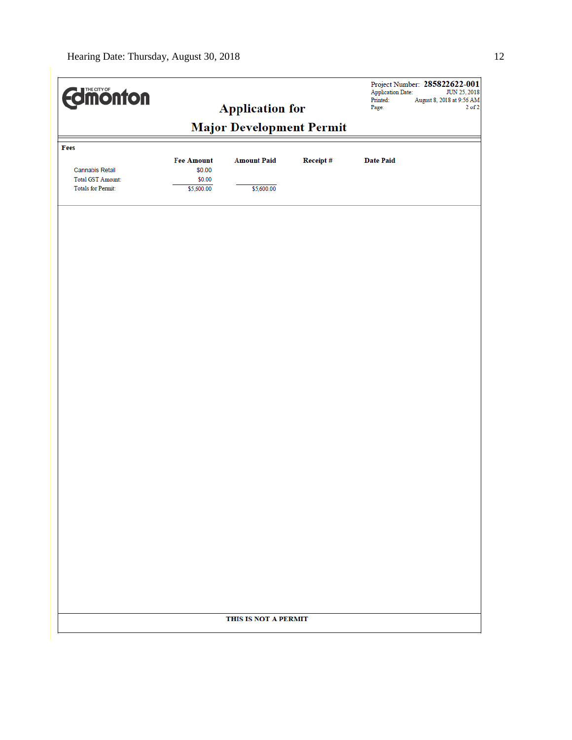| <b>Edinonton</b>          |                   |                        |          | Project Number: 285822622-001<br><b>Application Date:</b><br>JUN 25, 2018<br>August 8, 2018 at 9:56 AM<br>Printed: |
|---------------------------|-------------------|------------------------|----------|--------------------------------------------------------------------------------------------------------------------|
|                           |                   | <b>Application for</b> |          | $2$ of $2$<br>Page:                                                                                                |
|                           |                   |                        |          |                                                                                                                    |
| Fees                      |                   |                        |          |                                                                                                                    |
|                           | <b>Fee Amount</b> | <b>Amount Paid</b>     | Receipt# | <b>Date Paid</b>                                                                                                   |
| <b>Cannabis Retail</b>    | \$0.00            |                        |          |                                                                                                                    |
| <b>Total GST Amount:</b>  | \$0.00            |                        |          |                                                                                                                    |
| <b>Totals for Permit:</b> | \$5,600.00        | \$5,600.00             |          |                                                                                                                    |
|                           |                   |                        |          |                                                                                                                    |
|                           |                   |                        |          |                                                                                                                    |
|                           |                   |                        |          |                                                                                                                    |
|                           |                   |                        |          |                                                                                                                    |
|                           |                   |                        |          |                                                                                                                    |
|                           |                   |                        |          |                                                                                                                    |
|                           |                   |                        |          |                                                                                                                    |
|                           |                   |                        |          |                                                                                                                    |
|                           |                   |                        |          |                                                                                                                    |
|                           |                   |                        |          |                                                                                                                    |
|                           |                   |                        |          |                                                                                                                    |
|                           |                   |                        |          |                                                                                                                    |
|                           |                   |                        |          |                                                                                                                    |
|                           |                   |                        |          |                                                                                                                    |
|                           |                   |                        |          |                                                                                                                    |
|                           |                   |                        |          |                                                                                                                    |
|                           |                   |                        |          |                                                                                                                    |
|                           |                   |                        |          |                                                                                                                    |
|                           |                   |                        |          |                                                                                                                    |
|                           |                   |                        |          |                                                                                                                    |
|                           |                   | THIS IS NOT A PERMIT   |          |                                                                                                                    |
|                           |                   |                        |          |                                                                                                                    |